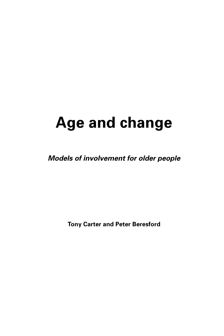# **Age and change**

**Models of involvement for older people**

**Tony Carter and Peter Beresford**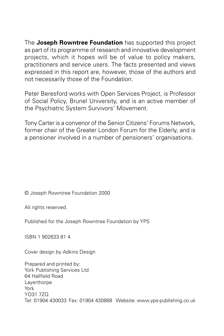The **Joseph Rowntree Foundation** has supported this project as part of its programme of research and innovative development projects, which it hopes will be of value to policy makers, practitioners and service users. The facts presented and views expressed in this report are, however, those of the authors and not necessarily those of the Foundation.

Peter Beresford works with Open Services Project, is Professor of Social Policy, Brunel University, and is an active member of the Psychiatric System Survivors' Movement.

Tony Carter is a convenor of the Senior Citizens' Forums Network, former chair of the Greater London Forum for the Elderly, and is a pensioner involved in a number of pensioners' organisations.

© Joseph Rowntree Foundation 2000

All rights reserved.

Published for the Joseph Rowntree Foundation by YPS

ISBN 1 902633 81 4

Cover design by Adkins Design

Prepared and printed by: York Publishing Services Ltd 64 Hallfield Road **Laverthorpe** York YO31 7ZQ Tel: 01904 430033 Fax: 01904 430868 Website: www.yps-publishing.co.uk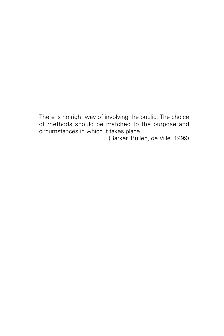There is no right way of involving the public. The choice of methods should be matched to the purpose and circumstances in which it takes place.

(Barker, Bullen, de Ville, 1999)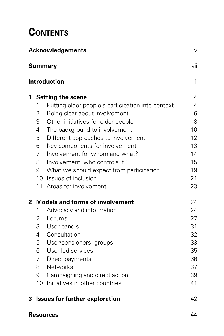## **CONTENTS**

| <b>Acknowledgements</b><br>V<br>vii<br><b>Summary</b><br><b>Introduction</b><br>1 |  |                                  |    |              |                                                                    |                                                                                                                                                                                                                                                                                                                                                                                                                               |                                                                  |
|-----------------------------------------------------------------------------------|--|----------------------------------|----|--------------|--------------------------------------------------------------------|-------------------------------------------------------------------------------------------------------------------------------------------------------------------------------------------------------------------------------------------------------------------------------------------------------------------------------------------------------------------------------------------------------------------------------|------------------------------------------------------------------|
|                                                                                   |  |                                  |    | 1            | 1<br>2<br>3<br>4<br>5<br>6<br>7<br>8<br>9<br>10 <sup>°</sup><br>11 | <b>Setting the scene</b><br>Putting older people's participation into context<br>Being clear about involvement<br>Other initiatives for older people<br>The background to involvement<br>Different approaches to involvement<br>Key components for involvement<br>Involvement for whom and what?<br>Involvement: who controls it?<br>What we should expect from participation<br>Issues of inclusion<br>Areas for involvement | 4<br>4<br>6<br>8<br>10<br>12<br>13<br>14<br>15<br>19<br>21<br>23 |
|                                                                                   |  |                                  |    | $\mathbf{2}$ | 1<br>2<br>3<br>4<br>5<br>6<br>7<br>8<br>10                         | <b>Models and forms of involvement</b><br>Advocacy and information<br>Forums<br>User panels<br>Consultation<br>User/pensioners' groups<br>User-led services<br>Direct payments<br><b>Networks</b><br>9 Campaigning and direct action<br>Initiatives in other countries                                                                                                                                                        | 24<br>24<br>27<br>31<br>32<br>33<br>35<br>36<br>37<br>39<br>41   |
|                                                                                   |  | 3 Issues for further exploration | 42 |              |                                                                    |                                                                                                                                                                                                                                                                                                                                                                                                                               |                                                                  |
| <b>Resources</b>                                                                  |  |                                  | 44 |              |                                                                    |                                                                                                                                                                                                                                                                                                                                                                                                                               |                                                                  |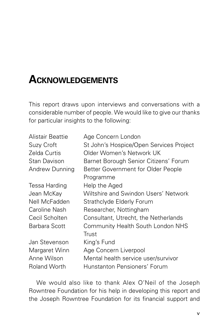## **ACKNOWLEDGEMENTS**

This report draws upon interviews and conversations with a considerable number of people. We would like to give our thanks for particular insights to the following:

| Alistair Beattie    | Age Concern London                       |
|---------------------|------------------------------------------|
| Suzy Croft          | St John's Hospice/Open Services Project  |
| <b>Zelda Curtis</b> | Older Women's Network UK                 |
| <b>Stan Davison</b> | Barnet Borough Senior Citizens' Forum    |
| Andrew Dunning      | Better Government for Older People       |
|                     | Programme                                |
| Tessa Harding       | Help the Aged                            |
| Jean McKay          | Wiltshire and Swindon Users' Network     |
| Nell McFadden       | Strathclyde Elderly Forum                |
| Caroline Nash       | Researcher, Nottingham                   |
| Cecil Scholten      | Consultant, Utrecht, the Netherlands     |
| Barbara Scott       | <b>Community Health South London NHS</b> |
|                     | Trust                                    |
| Jan Stevenson       | King's Fund                              |
| Margaret Winn       | Age Concern Liverpool                    |
| Anne Wilson         | Mental health service user/survivor      |
| <b>Roland Worth</b> | <b>Hunstanton Pensioners' Forum</b>      |

We would also like to thank Alex O'Neil of the Joseph Rowntree Foundation for his help in developing this report and the Joseph Rowntree Foundation for its financial support and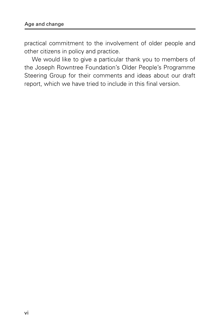practical commitment to the involvement of older people and other citizens in policy and practice.

We would like to give a particular thank you to members of the Joseph Rowntree Foundation's Older People's Programme Steering Group for their comments and ideas about our draft report, which we have tried to include in this final version.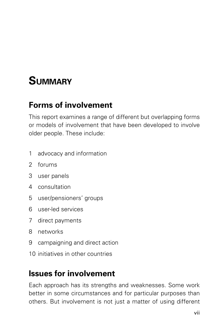## **SUMMARY**

## **Forms of involvement**

This report examines a range of different but overlapping forms or models of involvement that have been developed to involve older people. These include:

- 1 advocacy and information
- 2 forums
- 3 user panels
- 4 consultation
- 5 user/pensioners' groups
- 6 user-led services
- 7 direct payments
- 8 networks
- 9 campaigning and direct action
- 10 initiatives in other countries

## **Issues for involvement**

Each approach has its strengths and weaknesses. Some work better in some circumstances and for particular purposes than others. But involvement is not just a matter of using different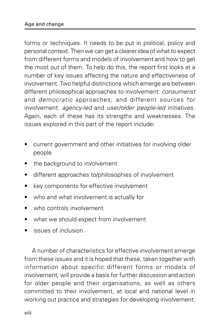forms or techniques. It needs to be put in political, policy and personal context. Then we can get a clearer idea of what to expect from different forms and models of involvement and how to get the most out of them. To help do this, the report first looks at a number of key issues affecting the nature and effectiveness of involvement. Two helpful distinctions which emerge are between different philosophical approaches to involvement: consumerist and democratic approaches; and different sources for involvement: agency-led and user/older people-led initiatives. Again, each of these has its strengths and weaknesses. The issues explored in this part of the report include:

- current government and other initiatives for involving older people
- the background to involvement
- different approaches to/philosophies of involvement
- key components for effective involvement
- who and what involvement is actually for
- who controls involvement
- what we should expect from involvement
- issues of inclusion.

A number of characteristics for effective involvement emerge from these issues and it is hoped that these, taken together with information about specific different forms or models of involvement, will provide a basis for further discussion and action for older people and their organisations, as well as others committed to their involvement, at local and national level in working out practice and strategies for developing involvement.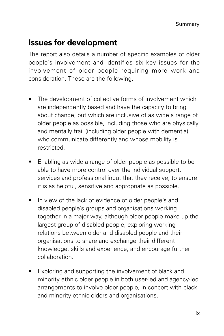### **Issues for development**

The report also details a number of specific examples of older people's involvement and identifies six key issues for the involvement of older people requiring more work and consideration. These are the following.

- The development of collective forms of involvement which are independently based and have the capacity to bring about change, but which are inclusive of as wide a range of older people as possible, including those who are physically and mentally frail (including older people with dementia), who communicate differently and whose mobility is restricted.
- Enabling as wide a range of older people as possible to be able to have more control over the individual support, services and professional input that they receive, to ensure it is as helpful, sensitive and appropriate as possible.
- In view of the lack of evidence of older people's and disabled people's groups and organisations working together in a major way, although older people make up the largest group of disabled people, exploring working relations between older and disabled people and their organisations to share and exchange their different knowledge, skills and experience, and encourage further collaboration.
- Exploring and supporting the involvement of black and minority ethnic older people in both user-led and agency-led arrangements to involve older people, in concert with black and minority ethnic elders and organisations.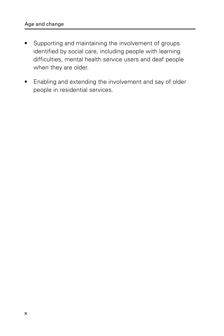- Supporting and maintaining the involvement of groups identified by social care, including people with learning difficulties, mental health service users and deaf people when they are older.
- Enabling and extending the involvement and say of older people in residential services.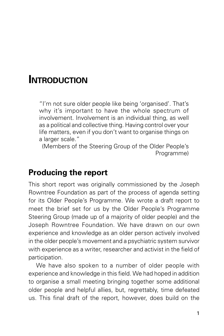## **INTRODUCTION**

"I'm not sure older people like being 'organised'. That's why it's important to have the whole spectrum of involvement. Involvement is an individual thing, as well as a political and collective thing. Having control over your life matters, even if you don't want to organise things on a larger scale."

(Members of the Steering Group of the Older People's Programme)

### **Producing the report**

This short report was originally commissioned by the Joseph Rowntree Foundation as part of the process of agenda setting for its Older People's Programme. We wrote a draft report to meet the brief set for us by the Older People's Programme Steering Group (made up of a majority of older people) and the Joseph Rowntree Foundation. We have drawn on our own experience and knowledge as an older person actively involved in the older people's movement and a psychiatric system survivor with experience as a writer, researcher and activist in the field of participation.

We have also spoken to a number of older people with experience and knowledge in this field. We had hoped in addition to organise a small meeting bringing together some additional older people and helpful allies, but, regrettably, time defeated us. This final draft of the report, however, does build on the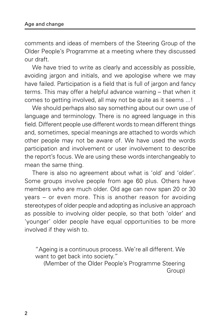comments and ideas of members of the Steering Group of the Older People's Programme at a meeting where they discussed our draft.

We have tried to write as clearly and accessibly as possible, avoiding jargon and initials, and we apologise where we may have failed. Participation is a field that is full of jargon and fancy terms. This may offer a helpful advance warning – that when it comes to getting involved, all may not be quite as it seems ...!

We should perhaps also say something about our own use of language and terminology. There is no agreed language in this field. Different people use different words to mean different things and, sometimes, special meanings are attached to words which other people may not be aware of. We have used the words participation and involvement or user involvement to describe the report's focus. We are using these words interchangeably to mean the same thing.

There is also no agreement about what is 'old' and 'older'. Some groups involve people from age 60 plus. Others have members who are much older. Old age can now span 20 or 30 years – or even more. This is another reason for avoiding stereotypes of older people and adopting as inclusive an approach as possible to involving older people, so that both 'older' and 'younger' older people have equal opportunities to be more involved if they wish to.

"Ageing is a continuous process. We're all different. We want to get back into society."

(Member of the Older People's Programme Steering Group)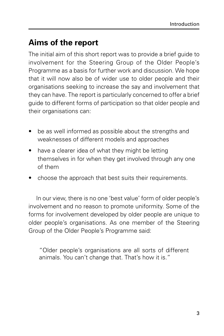## **Aims of the report**

The initial aim of this short report was to provide a brief guide to involvement for the Steering Group of the Older People's Programme as a basis for further work and discussion. We hope that it will now also be of wider use to older people and their organisations seeking to increase the say and involvement that they can have. The report is particularly concerned to offer a brief guide to different forms of participation so that older people and their organisations can:

- be as well informed as possible about the strengths and weaknesses of different models and approaches
- have a clearer idea of what they might be letting themselves in for when they get involved through any one of them
- choose the approach that best suits their requirements.

In our view, there is no one 'best value' form of older people's involvement and no reason to promote uniformity. Some of the forms for involvement developed by older people are unique to older people's organisations. As one member of the Steering Group of the Older People's Programme said:

"Older people's organisations are all sorts of different animals. You can't change that. That's how it is."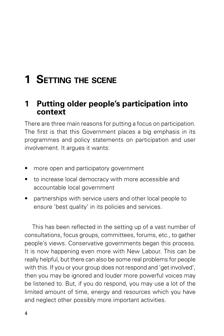## **1 SETTING THE SCENE**

#### **1 Putting older people's participation into context**

There are three main reasons for putting a focus on participation. The first is that this Government places a big emphasis in its programmes and policy statements on participation and user involvement. It argues it wants:

- more open and participatory government
- to increase local democracy with more accessible and accountable local government
- partnerships with service users and other local people to ensure 'best quality' in its policies and services.

This has been reflected in the setting up of a vast number of consultations, focus groups, committees, forums, etc., to gather people's views. Conservative governments began this process. It is now happening even more with New Labour. This can be really helpful, but there can also be some real problems for people with this. If you or your group does not respond and 'get involved', then you may be ignored and louder more powerful voices may be listened to. But, if you do respond, you may use a lot of the limited amount of time, energy and resources which you have and neglect other possibly more important activities.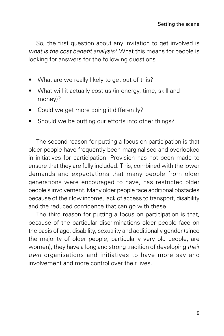So, the first question about any invitation to get involved is what is the cost benefit analysis? What this means for people is looking for answers for the following questions.

- What are we really likely to get out of this?
- What will it actually cost us (in energy, time, skill and money)?
- Could we get more doing it differently?
- Should we be putting our efforts into other things?

The second reason for putting a focus on participation is that older people have frequently been marginalised and overlooked in initiatives for participation. Provision has not been made to ensure that they are fully included. This, combined with the lower demands and expectations that many people from older generations were encouraged to have, has restricted older people's involvement. Many older people face additional obstacles because of their low income, lack of access to transport, disability and the reduced confidence that can go with these.

The third reason for putting a focus on participation is that, because of the particular discriminations older people face on the basis of age, disability, sexuality and additionally gender (since the majority of older people, particularly very old people, are women), they have a long and strong tradition of developing their own organisations and initiatives to have more say and involvement and more control over their lives.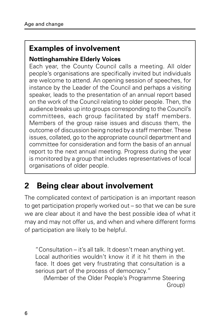#### **Examples of involvement**

#### **Nottinghamshire Elderly Voices**

Each year, the County Council calls a meeting. All older people's organisations are specifically invited but individuals are welcome to attend. An opening session of speeches, for instance by the Leader of the Council and perhaps a visiting speaker, leads to the presentation of an annual report based on the work of the Council relating to older people. Then, the audience breaks up into groups corresponding to the Council's committees, each group facilitated by staff members. Members of the group raise issues and discuss them, the outcome of discussion being noted by a staff member. These issues, collated, go to the appropriate council department and committee for consideration and form the basis of an annual report to the next annual meeting. Progress during the year is monitored by a group that includes representatives of local organisations of older people.

## **2 Being clear about involvement**

The complicated context of participation is an important reason to get participation properly worked out – so that we can be sure we are clear about it and have the best possible idea of what it may and may not offer us, and when and where different forms of participation are likely to be helpful.

"Consultation – it's all talk. It doesn't mean anything yet. Local authorities wouldn't know it if it hit them in the face. It does get very frustrating that consultation is a serious part of the process of democracy."

(Member of the Older People's Programme Steering Group)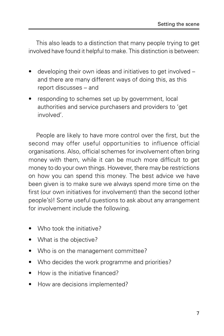This also leads to a distinction that many people trying to get involved have found it helpful to make. This distinction is between:

- developing their own ideas and initiatives to get involved and there are many different ways of doing this, as this report discusses – and
- responding to schemes set up by government, local authorities and service purchasers and providers to 'get involved'.

People are likely to have more control over the first, but the second may offer useful opportunities to influence official organisations. Also, official schemes for involvement often bring money with them, while it can be much more difficult to get money to do your own things. However, there may be restrictions on how you can spend this money. The best advice we have been given is to make sure we always spend more time on the first (our own initiatives for involvement) than the second (other people's)! Some useful questions to ask about any arrangement for involvement include the following.

- Who took the initiative?
- What is the objective?
- Who is on the management committee?
- Who decides the work programme and priorities?
- How is the initiative financed?
- How are decisions implemented?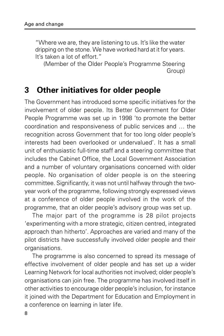"Where we are, they are listening to us. It's like the water dripping on the stone. We have worked hard at it for years. It's taken a lot of effort."

(Member of the Older People's Programme Steering Group)

### **3 Other initiatives for older people**

The Government has introduced some specific initiatives for the involvement of older people. Its Better Government for Older People Programme was set up in 1998 'to promote the better coordination and responsiveness of public services and … the recognition across Government that for too long older people's interests had been overlooked or undervalued'. It has a small unit of enthusiastic full-time staff and a steering committee that includes the Cabinet Office, the Local Government Association and a number of voluntary organisations concerned with older people. No organisation of older people is on the steering committee. Significantly, it was not until halfway through the twoyear work of the programme, following strongly expressed views at a conference of older people involved in the work of the programme, that an older people's advisory group was set up.

The major part of the programme is 28 pilot projects 'experimenting with a more strategic, citizen centred, integrated approach than hitherto'. Approaches are varied and many of the pilot districts have successfully involved older people and their organisations.

The programme is also concerned to spread its message of effective involvement of older people and has set up a wider Learning Network for local authorities not involved; older people's organisations can join free. The programme has involved itself in other activities to encourage older people's inclusion, for instance it joined with the Department for Education and Employment in a conference on learning in later life.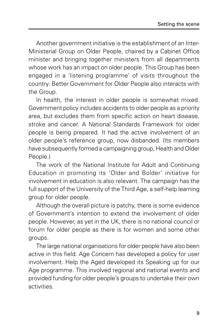Another government initiative is the establishment of an Inter-Ministerial Group on Older People, chaired by a Cabinet Office minister and bringing together ministers from all departments whose work has an impact on older people. This Group has been engaged in a 'listening programme' of visits throughout the country. Better Government for Older People also interacts with the Group.

In health, the interest in older people is somewhat mixed. Government policy includes accidents to older people as a priority area, but excludes them from specific action on heart disease, stroke and cancer. A National Standards Framework for older people is being prepared. It had the active involvement of an older people's reference group, now disbanded. (Its members have subsequently formed a campaigning group, Health and Older People.)

The work of the National Institute for Adult and Continuing Education in promoting its 'Older and Bolder' initiative for involvement in education is also relevant. The campaign has the full support of the University of the Third Age, a self-help learning group for older people.

Although the overall picture is patchy, there is some evidence of Government's intention to extend the involvement of older people. However, as yet in the UK, there is no national council or forum for older people as there is for women and some other groups.

The large national organisations for older people have also been active in this field. Age Concern has developed a policy for user involvement. Help the Aged developed its Speaking up for our Age programme. This involved regional and national events and provided funding for older people's groups to undertake their own activities.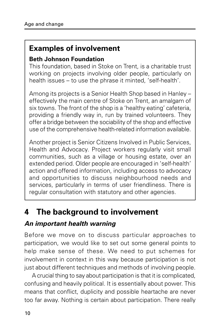#### **Examples of involvement**

#### **Beth Johnson Foundation**

This foundation, based in Stoke on Trent, is a charitable trust working on projects involving older people, particularly on health issues – to use the phrase it minted, 'self-health'.

Among its projects is a Senior Health Shop based in Hanley – effectively the main centre of Stoke on Trent, an amalgam of six towns. The front of the shop is a 'healthy eating' cafeteria, providing a friendly way in, run by trained volunteers. They offer a bridge between the sociability of the shop and effective use of the comprehensive health-related information available.

Another project is Senior Citizens Involved in Public Services, Health and Advocacy. Project workers regularly visit small communities, such as a village or housing estate, over an extended period. Older people are encouraged in 'self-health' action and offered information, including access to advocacy and opportunities to discuss neighbourhood needs and services, particularly in terms of user friendliness. There is regular consultation with statutory and other agencies.

## **4 The background to involvement**

#### **An important health warning**

Before we move on to discuss particular approaches to participation, we would like to set out some general points to help make sense of these. We need to put schemes for involvement in context in this way because participation is not just about different techniques and methods of involving people.

A crucial thing to say about participation is that it is complicated, confusing and heavily political. It is essentially about power. This means that conflict, duplicity and possible heartache are never too far away. Nothing is certain about participation. There really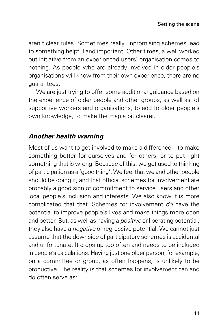aren't clear rules. Sometimes really unpromising schemes lead to something helpful and important. Other times, a well worked out initiative from an experienced users' organisation comes to nothing. As people who are already involved in older people's organisations will know from their own experience, there are no guarantees.

We are just trying to offer some additional guidance based on the experience of older people and other groups, as well as of supportive workers and organisations, to add to older people's own knowledge, to make the map a bit clearer.

#### **Another health warning**

Most of us want to get involved to make a difference – to make something better for ourselves and for others, or to put right something that is wrong. Because of this, we get used to thinking of participation as a 'good thing'. We feel that we and other people should be doing it, and that official schemes for involvement are probably a good sign of commitment to service users and other local people's inclusion and interests. We also know it is more complicated that that. Schemes for involvement do have the potential to improve people's lives and make things more open and better. But, as well as having a *positive* or liberating potential, they also have a *negative* or regressive potential. We cannot just assume that the downside of participatory schemes is accidental and unfortunate. It crops up too often and needs to be included in people's calculations. Having just one older person, for example, on a committee or group, as often happens, is unlikely to be productive. The reality is that schemes for involvement can and do often serve as: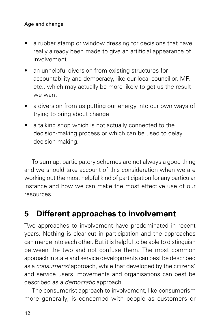- a rubber stamp or window dressing for decisions that have really already been made to give an artificial appearance of involvement
- an unhelpful diversion from existing structures for accountability and democracy, like our local councillor, MP, etc., which may actually be more likely to get us the result we want
- a diversion from us putting our energy into our own ways of trying to bring about change
- a talking shop which is not actually connected to the decision-making process or which can be used to delay decision making.

To sum up, participatory schemes are not always a good thing and we should take account of this consideration when we are working out the most helpful kind of participation for any particular instance and how we can make the most effective use of our resources.

#### **5 Different approaches to involvement**

Two approaches to involvement have predominated in recent years. Nothing is clear-cut in participation and the approaches can merge into each other. But it is helpful to be able to distinguish between the two and not confuse them. The most common approach in state and service developments can best be described as a consumerist approach, while that developed by the citizens' and service users' movements and organisations can best be described as a *democratic* approach.

The consumerist approach to involvement, like consumerism more generally, is concerned with people as customers or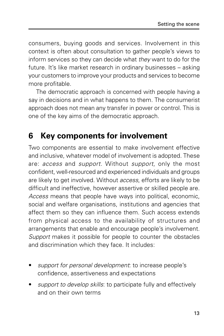consumers, buying goods and services. Involvement in this context is often about consultation to gather people's views to inform services so they can decide what they want to do for the future. It's like market research in ordinary businesses – asking your customers to improve your products and services to become more profitable.

The democratic approach is concerned with people having a say in decisions and in what happens to them. The consumerist approach does not mean any transfer in power or control. This is one of the key aims of the democratic approach.

### **6 Key components for involvement**

Two components are essential to make involvement effective and inclusive, whatever model of involvement is adopted. These are: access and support. Without support, only the most confident, well-resourced and experienced individuals and groups are likely to get involved. Without access, efforts are likely to be difficult and ineffective, however assertive or skilled people are. Access means that people have ways into political, economic, social and welfare organisations, institutions and agencies that affect them so they can influence them. Such access extends from physical access to the availability of structures and arrangements that enable and encourage people's involvement. Support makes it possible for people to counter the obstacles and discrimination which they face. It includes:

- support for personal development: to increase people's confidence, assertiveness and expectations
- support to develop skills: to participate fully and effectively and on their own terms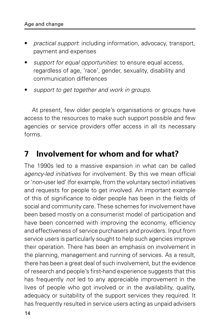- practical support: including information, advocacy, transport, payment and expenses
- support for equal opportunities: to ensure equal access, regardless of age, 'race', gender, sexuality, disability and communication differences
- support to get together and work in groups.

At present, few older people's organisations or groups have access to the resources to make such support possible and few agencies or service providers offer access in all its necessary forms.

#### **7 Involvement for whom and for what?**

The 1990s led to a massive expansion in what can be called agency-led initiatives for involvement. By this we mean official or 'non-user led' (for example, from the voluntary sector) initiatives and requests for people to get involved. An important example of this of significance to older people has been in the fields of social and community care. These schemes for involvement have been based mostly on a consumerist model of participation and have been concerned with improving the economy, efficiency and effectiveness of service purchasers and providers. Input from service users is particularly sought to help such agencies improve their operation. There has been an emphasis on involvement in the planning, management and running of services. As a result, there has been a great deal of such involvement, but the evidence of research and people's first-hand experience suggests that this has frequently not led to any appreciable improvement in the lives of people who got involved or in the availability, quality, adequacy or suitability of the support services they required. It has frequently resulted in service users acting as unpaid advisers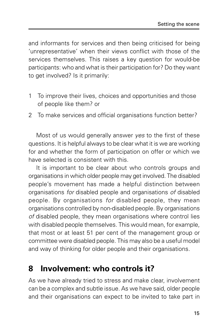and informants for services and then being criticised for being 'unrepresentative' when their views conflict with those of the services themselves. This raises a key question for would-be participants: who and what is their participation for? Do they want to get involved? Is it primarily:

- 1 To improve their lives, choices and opportunities and those of people like them? or
- 2 To make services and official organisations function better?

Most of us would generally answer yes to the first of these questions. It is helpful always to be clear what it is we are working for and whether the form of participation on offer or which we have selected is consistent with this.

It is important to be clear about who controls groups and organisations in which older people may get involved. The disabled people's movement has made a helpful distinction between organisations for disabled people and organisations of disabled people. By organisations for disabled people, they mean organisations controlled by non-disabled people. By organisations of disabled people, they mean organisations where control lies with disabled people themselves. This would mean, for example, that most or at least 51 per cent of the management group or committee were disabled people. This may also be a useful model and way of thinking for older people and their organisations.

#### **8 Involvement: who controls it?**

As we have already tried to stress and make clear, involvement can be a complex and subtle issue. As we have said, older people and their organisations can expect to be invited to take part in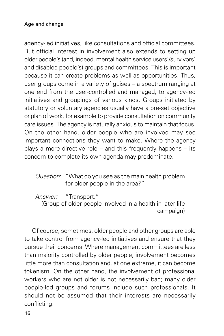agency-led initiatives, like consultations and official committees. But official interest in involvement also extends to setting up older people's (and, indeed, mental health service users'/survivors' and disabled people's) groups and committees. This is important because it can create problems as well as opportunities. Thus, user groups come in a variety of guises – a spectrum ranging at one end from the user-controlled and managed, to agency-led initiatives and groupings of various kinds. Groups initiated by statutory or voluntary agencies usually have a pre-set objective or plan of work, for example to provide consultation on community care issues. The agency is naturally anxious to maintain that focus. On the other hand, older people who are involved may see important connections they want to make. Where the agency plays a more directive role – and this frequently happens – its concern to complete its own agenda may predominate.

#### Question: "What do you see as the main health problem for older people in the area?"

Answer: "Transport." (Group of older people involved in a health in later life campaign)

Of course, sometimes, older people and other groups are able to take control from agency-led initiatives and ensure that they pursue their concerns. Where management committees are less than majority controlled by older people, involvement becomes little more than consultation and, at one extreme, it can become tokenism. On the other hand, the involvement of professional workers who are not older is not necessarily bad; many older people-led groups and forums include such professionals. It should not be assumed that their interests are necessarily conflicting.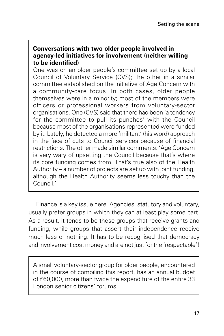#### **Conversations with two older people involved in agency-led initiatives for involvement (neither willing to be identified)**

One was on an older people's committee set up by a local Council of Voluntary Service (CVS); the other in a similar committee established on the initiative of Age Concern with a community-care focus. In both cases, older people themselves were in a minority; most of the members were officers or professional workers from voluntary-sector organisations. One (CVS) said that there had been 'a tendency for the committee to pull its punches' with the Council because most of the organisations represented were funded by it. Lately, he detected a more 'militant' (his word) approach in the face of cuts to Council services because of financial restrictions. The other made similar comments: 'Age Concern is very wary of upsetting the Council because that's where its core funding comes from. That's true also of the Health Authority – a number of projects are set up with joint funding, although the Health Authority seems less touchy than the Council.'

Finance is a key issue here. Agencies, statutory and voluntary, usually prefer groups in which they can at least play some part. As a result, it tends to be these groups that receive grants and funding, while groups that assert their independence receive much less or nothing. It has to be recognised that democracy and involvement cost money and are not just for the 'respectable'!

A small voluntary-sector group for older people, encountered in the course of compiling this report, has an annual budget of £60,000, more than twice the expenditure of the entire 33 London senior citizens' forums.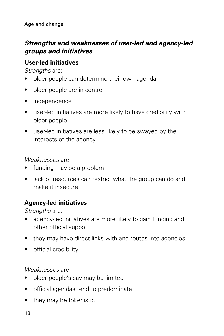#### **Strengths and weaknesses of user-led and agency-led groups and initiatives**

#### **User-led initiatives**

Strengths are:

- older people can determine their own agenda
- older people are in control
- independence
- user-led initiatives are more likely to have credibility with older people
- user-led initiatives are less likely to be swayed by the interests of the agency.

Weaknesses are:

- funding may be a problem
- lack of resources can restrict what the group can do and make it insecure.

#### **Agency-led initiatives**

Strengths are:

- agency-led initiatives are more likely to gain funding and other official support
- they may have direct links with and routes into agencies
- official credibility.

Weaknesses are:

- older people's say may be limited
- official agendas tend to predominate
- they may be tokenistic.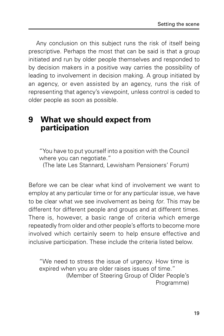Any conclusion on this subject runs the risk of itself being prescriptive. Perhaps the most that can be said is that a group initiated and run by older people themselves and responded to by decision makers in a positive way carries the possibility of leading to involvement in decision making. A group initiated by an agency, or even assisted by an agency, runs the risk of representing that agency's viewpoint, unless control is ceded to older people as soon as possible.

#### **9 What we should expect from participation**

"You have to put yourself into a position with the Council where you can negotiate."

(The late Les Stannard, Lewisham Pensioners' Forum)

Before we can be clear what kind of involvement we want to employ at any particular time or for any particular issue, we have to be clear what we see involvement as being for. This may be different for different people and groups and at different times. There is, however, a basic range of criteria which emerge repeatedly from older and other people's efforts to become more involved which certainly seem to help ensure effective and inclusive participation. These include the criteria listed below.

"We need to stress the issue of urgency. How time is expired when you are older raises issues of time." (Member of Steering Group of Older People's Programme)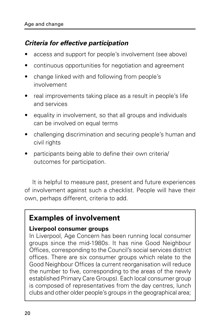#### **Criteria for effective participation**

- access and support for people's involvement (see above)
- continuous opportunities for negotiation and agreement
- change linked with and following from people's involvement
- real improvements taking place as a result in people's life and services
- equality in involvement, so that all groups and individuals can be involved on equal terms
- challenging discrimination and securing people's human and civil rights
- participants being able to define their own criteria/ outcomes for participation.

It is helpful to measure past, present and future experiences of involvement against such a checklist. People will have their own, perhaps different, criteria to add.

### **Examples of involvement**

#### **Liverpool consumer groups**

In Liverpool, Age Concern has been running local consumer groups since the mid-1980s. It has nine Good Neighbour Offices, corresponding to the Council's social services district offices. There are six consumer groups which relate to the Good Neighbour Offices (a current reorganisation will reduce the number to five, corresponding to the areas of the newly established Primary Care Groups). Each local consumer group is composed of representatives from the day centres, lunch clubs and other older people's groups in the geographical area;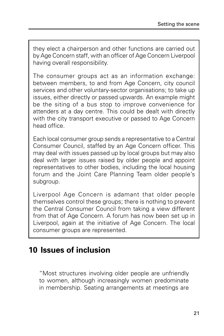they elect a chairperson and other functions are carried out by Age Concern staff, with an officer of Age Concern Liverpool having overall responsibility.

The consumer groups act as an information exchange: between members, to and from Age Concern, city council services and other voluntary-sector organisations; to take up issues, either directly or passed upwards. An example might be the siting of a bus stop to improve convenience for attenders at a day centre. This could be dealt with directly with the city transport executive or passed to Age Concern head office.

Each local consumer group sends a representative to a Central Consumer Council, staffed by an Age Concern officer. This may deal with issues passed up by local groups but may also deal with larger issues raised by older people and appoint representatives to other bodies, including the local housing forum and the Joint Care Planning Team older people's subgroup.

Liverpool Age Concern is adamant that older people themselves control these groups; there is nothing to prevent the Central Consumer Council from taking a view different from that of Age Concern. A forum has now been set up in Liverpool, again at the initiative of Age Concern. The local consumer groups are represented.

## **10 Issues of inclusion**

"Most structures involving older people are unfriendly to women, although increasingly women predominate in membership. Seating arrangements at meetings are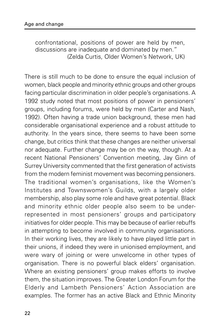confrontational, positions of power are held by men, discussions are inadequate and dominated by men." (Zelda Curtis, Older Women's Network, UK)

There is still much to be done to ensure the equal inclusion of women, black people and minority ethnic groups and other groups facing particular discrimination in older people's organisations. A 1992 study noted that most positions of power in pensioners' groups, including forums, were held by men (Carter and Nash, 1992). Often having a trade union background, these men had considerable organisational experience and a robust attitude to authority. In the years since, there seems to have been some change, but critics think that these changes are neither universal nor adequate. Further change may be on the way, though. At a recent National Pensioners' Convention meeting, Jay Ginn of Surrey University commented that the first generation of activists from the modern feminist movement was becoming pensioners. The traditional women's organisations, like the Women's Institutes and Townswomen's Guilds, with a largely older membership, also play some role and have great potential. Black and minority ethnic older people also seem to be underrepresented in most pensioners' groups and participatory initiatives for older people. This may be because of earlier rebuffs in attempting to become involved in community organisations. In their working lives, they are likely to have played little part in their unions, if indeed they were in unionised employment, and were wary of joining or were unwelcome in other types of organisation. There is no powerful black elders' organisation. Where an existing pensioners' group makes efforts to involve them, the situation improves. The Greater London Forum for the Elderly and Lambeth Pensioners' Action Association are examples. The former has an active Black and Ethnic Minority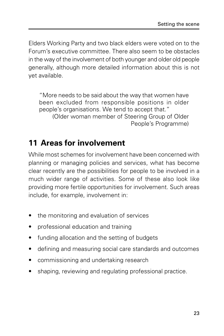Elders Working Party and two black elders were voted on to the Forum's executive committee. There also seem to be obstacles in the way of the involvement of both younger and older old people generally, although more detailed information about this is not yet available.

"More needs to be said about the way that women have been excluded from responsible positions in older people's organisations. We tend to accept that." (Older woman member of Steering Group of Older People's Programme)

## **11 Areas for involvement**

While most schemes for involvement have been concerned with planning or managing policies and services, what has become clear recently are the possibilities for people to be involved in a much wider range of activities. Some of these also look like providing more fertile opportunities for involvement. Such areas include, for example, involvement in:

- the monitoring and evaluation of services
- professional education and training
- funding allocation and the setting of budgets
- defining and measuring social care standards and outcomes
- commissioning and undertaking research
- shaping, reviewing and regulating professional practice.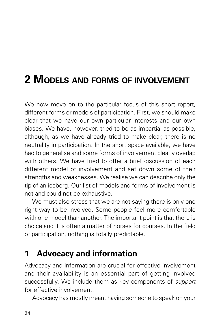## **2 MODELS AND FORMS OF INVOLVEMENT**

We now move on to the particular focus of this short report, different forms or models of participation. First, we should make clear that we have our own particular interests and our own biases. We have, however, tried to be as impartial as possible, although, as we have already tried to make clear, there is no neutrality in participation. In the short space available, we have had to generalise and some forms of involvement clearly overlap with others. We have tried to offer a brief discussion of each different model of involvement and set down some of their strengths and weaknesses. We realise we can describe only the tip of an iceberg. Our list of models and forms of involvement is not and could not be exhaustive.

We must also stress that we are not saying there is only one right way to be involved. Some people feel more comfortable with one model than another. The important point is that there is choice and it is often a matter of horses for courses. In the field of participation, nothing is totally predictable.

## **1 Advocacy and information**

Advocacy and information are crucial for effective involvement and their availability is an essential part of getting involved successfully. We include them as key components of *support* for effective involvement.

Advocacy has mostly meant having someone to speak on your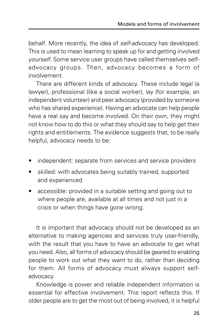behalf. More recently, the idea of self-advocacy has developed. This is used to mean learning to speak up for and getting involved yourself. Some service user groups have called themselves selfadvocacy groups. Then, advocacy becomes a form of involvement.

There are different kinds of advocacy. These include legal (a lawyer), professional (like a social worker), lay (for example, an independent volunteer) and peer advocacy (provided by someone who has shared experience). Having an advocate can help people have a real say and become involved. On their own, they might not know how to do this or what they should say to help get their rights and entitlements. The evidence suggests that, to be really helpful, advocacy needs to be:

- independent: separate from services and service providers
- skilled: with advocates being suitably trained, supported and experienced
- accessible: provided in a suitable setting and going out to where people are, available at all times and not just in a crisis or when things have gone wrong.

It is important that advocacy should not be developed as an alternative to making agencies and services truly user-friendly, with the result that you have to have an advocate to get what you need. Also, all forms of advocacy should be geared to enabling people to work out what they want to do, rather than deciding for them. All forms of advocacy must always support selfadvocacy.

Knowledge is power and reliable independent information is essential for effective involvement. This report reflects this. If older people are to get the most out of being involved, it is helpful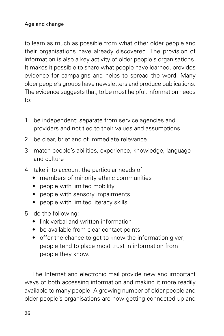to learn as much as possible from what other older people and their organisations have already discovered. The provision of information is also a key activity of older people's organisations. It makes it possible to share what people have learned, provides evidence for campaigns and helps to spread the word. Many older people's groups have newsletters and produce publications. The evidence suggests that, to be most helpful, information needs to:

- 1 be independent: separate from service agencies and providers and not tied to their values and assumptions
- 2 be clear, brief and of immediate relevance
- 3 match people's abilities, experience, knowledge, language and culture
- 4 take into account the particular needs of:
	- members of minority ethnic communities
	- people with limited mobility
	- people with sensory impairments
	- people with limited literacy skills
- 5 do the following:
	- link verbal and written information
	- be available from clear contact points
	- offer the chance to get to know the information-giver; people tend to place most trust in information from people they know.

The Internet and electronic mail provide new and important ways of both accessing information and making it more readily available to many people. A growing number of older people and older people's organisations are now getting connected up and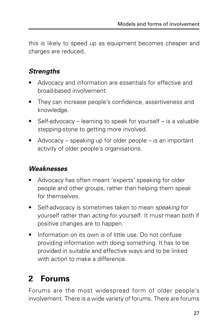this is likely to speed up as equipment becomes cheaper and charges are reduced.

#### **Strengths**

- Advocacy and information are essentials for effective and broad-based involvement.
- They can increase people's confidence, assertiveness and knowledge.
- Self-advocacy learning to speak for yourself is a valuable stepping-stone to getting more involved.
- Advocacy speaking up for older people is an important activity of older people's organisations.

#### **Weaknesses**

- Advocacy has often meant 'experts' speaking for older people and other groups, rather than helping them speak for themselves.
- Self-advocacy is sometimes taken to mean *speaking* for yourself rather than acting for yourself. It must mean both if positive changes are to happen.
- Information on its own is of little use. Do not confuse providing information with doing something. It has to be provided in suitable and effective ways and to be linked with action to make a difference.

## **2 Forums**

Forums are the most widespread form of older people's involvement. There is a wide variety of forums. There are forums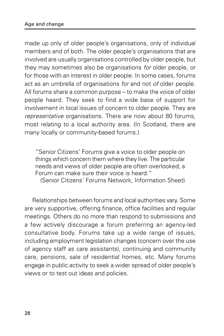made up only of older people's organisations, only of individual members and of both. The older people's organisations that are involved are usually organisations controlled by older people, but they may sometimes also be organisations for older people, or for those with an interest in older people. In some cases, forums act as an umbrella of organisations for and not of older people. All forums share a common purpose – to make the voice of older people heard. They seek to find a wide base of support for involvement in local issues of concern to older people. They are representative organisations. There are now about 80 forums, most relating to a local authority area. (In Scotland, there are many locally or community-based forums.)

"Senior Citizens' Forums give a voice to older people on things which concern them where they live. The particular needs and views of older people are often overlooked; a Forum can make sure their voice is heard."

(Senior Citizens' Forums Network, Information Sheet)

Relationships between forums and local authorities vary. Some are very supportive, offering finance, office facilities and regular meetings. Others do no more than respond to submissions and a few actively discourage a forum preferring an agency-led consultative body. Forums take up a wide range of issues, including employment legislation changes (concern over the use of agency staff as care assistants), continuing and community care, pensions, sale of residential homes, etc. Many forums engage in public activity to seek a wider spread of older people's views or to test out ideas and policies.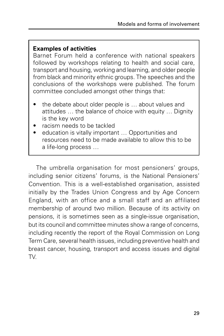#### **Examples of activities**

Barnet Forum held a conference with national speakers followed by workshops relating to health and social care, transport and housing, working and learning, and older people from black and minority ethnic groups. The speeches and the conclusions of the workshops were published. The forum committee concluded amongst other things that:

- the debate about older people is … about values and attitudes … the balance of choice with equity … Dignity is the key word
- racism needs to be tackled
- education is vitally important ... Opportunities and resources need to be made available to allow this to be a life-long process …

The umbrella organisation for most pensioners' groups, including senior citizens' forums, is the National Pensioners' Convention. This is a well-established organisation, assisted initially by the Trades Union Congress and by Age Concern England, with an office and a small staff and an affiliated membership of around two million. Because of its activity on pensions, it is sometimes seen as a single-issue organisation, but its council and committee minutes show a range of concerns, including recently the report of the Royal Commission on Long Term Care, several health issues, including preventive health and breast cancer, housing, transport and access issues and digital TV.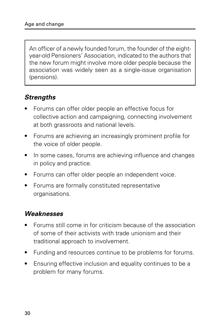An officer of a newly founded forum, the founder of the eightyear-old Pensioners' Association, indicated to the authors that the new forum might involve more older people because the association was widely seen as a single-issue organisation (pensions).

#### **Strengths**

- Forums can offer older people an effective focus for collective action and campaigning, connecting involvement at both grassroots and national levels.
- Forums are achieving an increasingly prominent profile for the voice of older people.
- In some cases, forums are achieving influence and changes in policy and practice.
- Forums can offer older people an independent voice.
- Forums are formally constituted representative organisations.

#### **Weaknesses**

- Forums still come in for criticism because of the association of some of their activists with trade unionism and their traditional approach to involvement.
- Funding and resources continue to be problems for forums.
- Ensuring effective inclusion and equality continues to be a problem for many forums.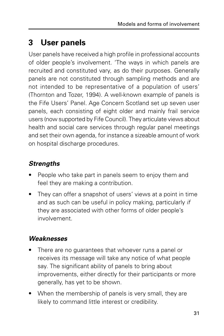## **3 User panels**

User panels have received a high profile in professional accounts of older people's involvement. 'The ways in which panels are recruited and constituted vary, as do their purposes. Generally panels are not constituted through sampling methods and are not intended to be representative of a population of users' (Thornton and Tozer, 1994). A well-known example of panels is the Fife Users' Panel. Age Concern Scotland set up seven user panels, each consisting of eight older and mainly frail service users (now supported by Fife Council). They articulate views about health and social care services through regular panel meetings and set their own agenda, for instance a sizeable amount of work on hospital discharge procedures.

### **Strengths**

- People who take part in panels seem to enjoy them and feel they are making a contribution.
- They can offer a snapshot of users' views at a point in time and as such can be useful in policy making, particularly if they are associated with other forms of older people's involvement.

#### **Weaknesses**

- There are no guarantees that whoever runs a panel or receives its message will take any notice of what people say. The significant ability of panels to bring about improvements, either directly for their participants or more generally, has yet to be shown.
- When the membership of panels is very small, they are likely to command little interest or credibility.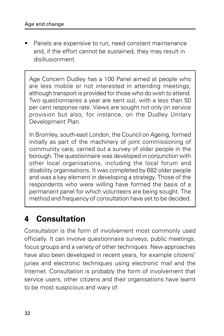Panels are expensive to run, need constant maintenance and, if the effort cannot be sustained, they may result in disillusionment.

Age Concern Dudley has a 100 Panel aimed at people who are less mobile or not interested in attending meetings, although transport is provided for those who do wish to attend. Two questionnaires a year are sent out, with a less than 50 per cent response rate. Views are sought not only on service provision but also, for instance, on the Dudley Unitary Development Plan.

In Bromley, south-east London, the Council on Ageing, formed initially as part of the machinery of joint commissioning of community care, carried out a survey of older people in the borough. The questionnaire was developed in conjunction with other local organisations, including the local forum and disability organisations. It was completed by 682 older people and was a key element in developing a strategy. Those of the respondents who were willing have formed the basis of a permanent panel for which volunteers are being sought. The method and frequency of consultation have yet to be decided.

## **4 Consultation**

Consultation is the form of involvement most commonly used officially. It can involve questionnaire surveys, public meetings, focus groups and a variety of other techniques. New approaches have also been developed in recent years, for example citizens' juries and electronic techniques using electronic mail and the Internet. Consultation is probably the form of involvement that service users, other citizens and their organisations have learnt to be most suspicious and wary of.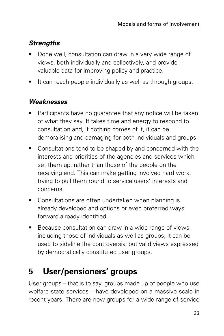#### **Strengths**

- Done well, consultation can draw in a very wide range of views, both individually and collectively, and provide valuable data for improving policy and practice.
- It can reach people individually as well as through groups.

#### **Weaknesses**

- Participants have no guarantee that any notice will be taken of what they say. It takes time and energy to respond to consultation and, if nothing comes of it, it can be demoralising and damaging for both individuals and groups.
- Consultations tend to be shaped by and concerned with the interests and priorities of the agencies and services which set them up, rather than those of the people on the receiving end. This can make getting involved hard work, trying to pull them round to service users' interests and concerns.
- Consultations are often undertaken when planning is already developed and options or even preferred ways forward already identified.
- Because consultation can draw in a wide range of views, including those of individuals as well as groups, it can be used to sideline the controversial but valid views expressed by democratically constituted user groups.

## **5 User/pensioners' groups**

User groups – that is to say, groups made up of people who use welfare state services – have developed on a massive scale in recent years. There are now groups for a wide range of service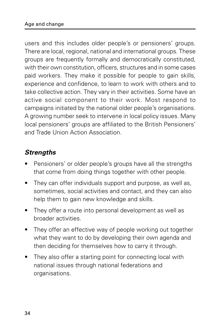users and this includes older people's or pensioners' groups. There are local, regional, national and international groups. These groups are frequently formally and democratically constituted, with their own constitution, officers, structures and in some cases paid workers. They make it possible for people to gain skills, experience and confidence, to learn to work with others and to take collective action. They vary in their activities. Some have an active social component to their work. Most respond to campaigns initiated by the national older people's organisations. A growing number seek to intervene in local policy issues. Many local pensioners' groups are affiliated to the British Pensioners' and Trade Union Action Association.

#### **Strengths**

- Pensioners' or older people's groups have all the strengths that come from doing things together with other people.
- They can offer individuals support and purpose, as well as, sometimes, social activities and contact, and they can also help them to gain new knowledge and skills.
- They offer a route into personal development as well as broader activities.
- They offer an effective way of people working out together what they want to do by developing their own agenda and then deciding for themselves how to carry it through.
- They also offer a starting point for connecting local with national issues through national federations and organisations.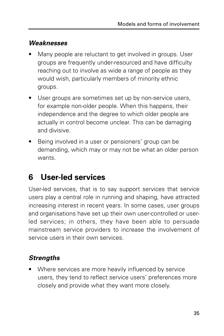#### **Weaknesses**

- Many people are reluctant to get involved in groups. User groups are frequently under-resourced and have difficulty reaching out to involve as wide a range of people as they would wish, particularly members of minority ethnic groups.
- User groups are sometimes set up by non-service users, for example non-older people. When this happens, their independence and the degree to which older people are actually in control become unclear. This can be damaging and divisive.
- Being involved in a user or pensioners' group can be demanding, which may or may not be what an older person wants.

## **6 User-led services**

User-led services, that is to say support services that service users play a central role in running and shaping, have attracted increasing interest in recent years. In some cases, user groups and organisations have set up their own user-controlled or userled services; in others, they have been able to persuade mainstream service providers to increase the involvement of service users in their own services.

### **Strengths**

• Where services are more heavily influenced by service users, they tend to reflect service users' preferences more closely and provide what they want more closely.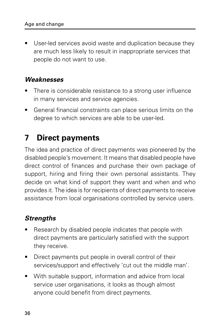User-led services avoid waste and duplication because they are much less likely to result in inappropriate services that people do not want to use.

#### **Weaknesses**

- There is considerable resistance to a strong user influence in many services and service agencies.
- General financial constraints can place serious limits on the degree to which services are able to be user-led.

## **7 Direct payments**

The idea and practice of direct payments was pioneered by the disabled people's movement. It means that disabled people have direct control of finances and purchase their own package of support, hiring and firing their own personal assistants. They decide on what kind of support they want and when and who provides it. The idea is for recipients of direct payments to receive assistance from local organisations controlled by service users.

#### **Strengths**

- Research by disabled people indicates that people with direct payments are particularly satisfied with the support they receive.
- Direct payments put people in overall control of their services/support and effectively 'cut out the middle man'.
- With suitable support, information and advice from local service user organisations, it looks as though almost anyone could benefit from direct payments.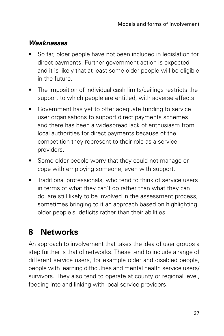#### **Weaknesses**

- So far, older people have not been included in legislation for direct payments. Further government action is expected and it is likely that at least some older people will be eligible in the future.
- The imposition of individual cash limits/ceilings restricts the support to which people are entitled, with adverse effects.
- Government has yet to offer adequate funding to service user organisations to support direct payments schemes and there has been a widespread lack of enthusiasm from local authorities for direct payments because of the competition they represent to their role as a service providers.
- Some older people worry that they could not manage or cope with employing someone, even with support.
- Traditional professionals, who tend to think of service users in terms of what they can't do rather than what they can do, are still likely to be involved in the assessment process, sometimes bringing to it an approach based on highlighting older people's deficits rather than their abilities.

## **8 Networks**

An approach to involvement that takes the idea of user groups a step further is that of networks. These tend to include a range of different service users, for example older and disabled people, people with learning difficulties and mental health service users/ survivors. They also tend to operate at county or regional level, feeding into and linking with local service providers.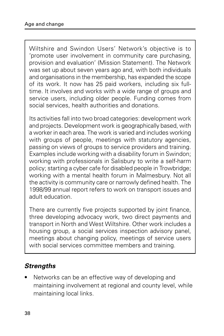Wiltshire and Swindon Users' Network's objective is to 'promote user involvement in community care purchasing, provision and evaluation' (Mission Statement). The Network was set up about seven years ago and, with both individuals and organisations in the membership, has expanded the scope of its work. It now has 25 paid workers, including six fulltime. It involves and works with a wide range of groups and service users, including older people. Funding comes from social services, health authorities and donations.

Its activities fall into two broad categories: development work and projects. Development work is geographically based, with a worker in each area. The work is varied and includes working with groups of people, meetings with statutory agencies, passing on views of groups to service providers and training. Examples include working with a disability forum in Swindon; working with professionals in Salisbury to write a self-harm policy; starting a cyber cafe for disabled people in Trowbridge; working with a mental health forum in Malmesbury. Not all the activity is community care or narrowly defined health. The 1998/99 annual report refers to work on transport issues and adult education.

There are currently five projects supported by joint finance, three developing advocacy work, two direct payments and transport in North and West Wiltshire. Other work includes a housing group, a social services inspection advisory panel, meetings about changing policy, meetings of service users with social services committee members and training.

#### **Strengths**

Networks can be an effective way of developing and maintaining involvement at regional and county level, while maintaining local links.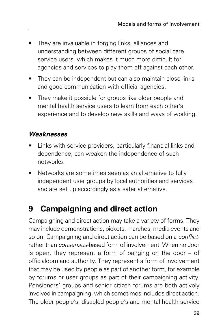- They are invaluable in forging links, alliances and understanding between different groups of social care service users, which makes it much more difficult for agencies and services to play them off against each other.
- They can be independent but can also maintain close links and good communication with official agencies.
- They make it possible for groups like older people and mental health service users to learn from each other's experience and to develop new skills and ways of working.

#### **Weaknesses**

- Links with service providers, particularly financial links and dependence, can weaken the independence of such networks.
- Networks are sometimes seen as an alternative to fully independent user groups by local authorities and services and are set up accordingly as a safer alternative.

## **9 Campaigning and direct action**

Campaigning and direct action may take a variety of forms. They may include demonstrations, pickets, marches, media events and so on. Campaigning and direct action can be based on a *conflict*rather than consensus-based form of involvement. When no door is open, they represent a form of banging on the door – of officialdom and authority. They represent a form of involvement that may be used by people as part of another form, for example by forums or user groups as part of their campaigning activity. Pensioners' groups and senior citizen forums are both actively involved in campaigning, which sometimes includes direct action. The older people's, disabled people's and mental health service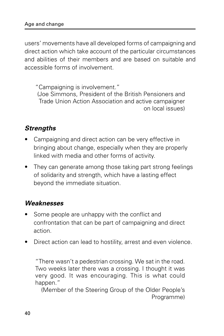users' movements have all developed forms of campaigning and direct action which take account of the particular circumstances and abilities of their members and are based on suitable and accessible forms of involvement.

"Campaigning is involvement." (Joe Simmons, President of the British Pensioners and Trade Union Action Association and active campaigner on local issues)

#### **Strengths**

- Campaigning and direct action can be very effective in bringing about change, especially when they are properly linked with media and other forms of activity.
- They can generate among those taking part strong feelings of solidarity and strength, which have a lasting effect beyond the immediate situation.

#### **Weaknesses**

- Some people are unhappy with the conflict and confrontation that can be part of campaigning and direct action.
- Direct action can lead to hostility, arrest and even violence.

"There wasn't a pedestrian crossing. We sat in the road. Two weeks later there was a crossing. I thought it was very good. It was encouraging. This is what could happen."

(Member of the Steering Group of the Older People's Programme)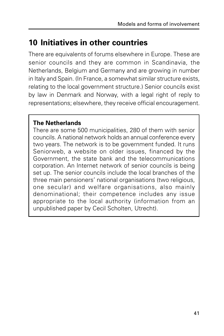## **10 Initiatives in other countries**

There are equivalents of forums elsewhere in Europe. These are senior councils and they are common in Scandinavia, the Netherlands, Belgium and Germany and are growing in number in Italy and Spain. (In France, a somewhat similar structure exists, relating to the local government structure.) Senior councils exist by law in Denmark and Norway, with a legal right of reply to representations; elsewhere, they receive official encouragement.

#### **The Netherlands**

There are some 500 municipalities, 280 of them with senior councils. A national network holds an annual conference every two years. The network is to be government funded. It runs Seniorweb, a website on older issues, financed by the Government, the state bank and the telecommunications corporation. An Internet network of senior councils is being set up. The senior councils include the local branches of the three main pensioners' national organisations (two religious, one secular) and welfare organisations, also mainly denominational; their competence includes any issue appropriate to the local authority (information from an unpublished paper by Cecil Scholten, Utrecht).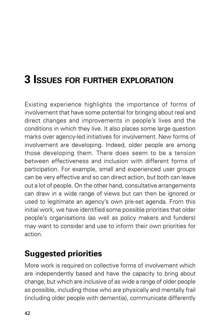## **3 ISSUES FOR FURTHER EXPLORATION**

Existing experience highlights the importance of forms of involvement that have some potential for bringing about real and direct changes and improvements in people's lives and the conditions in which they live. It also places some large question marks over agency-led initiatives for involvement. New forms of involvement are developing. Indeed, older people are among those developing them. There does seem to be a tension between effectiveness and inclusion with different forms of participation. For example, small and experienced user groups can be very effective and so can direct action, but both can leave out a lot of people. On the other hand, consultative arrangements can draw in a wide range of views but can then be ignored or used to legitimate an agency's own pre-set agenda. From this initial work, we have identified some possible priorities that older people's organisations (as well as policy makers and funders) may want to consider and use to inform their own priorities for action.

## **Suggested priorities**

More work is required on collective forms of involvement which are independently based and have the capacity to bring about change, but which are inclusive of as wide a range of older people as possible, including those who are physically and mentally frail (including older people with dementia), communicate differently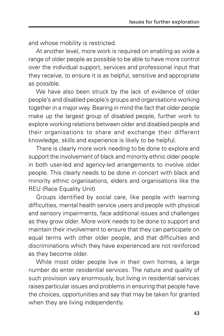and whose mobility is restricted.

At another level, more work is required on enabling as wide a range of older people as possible to be able to have more control over the individual support, services and professional input that they receive, to ensure it is as helpful, sensitive and appropriate as possible.

We have also been struck by the lack of evidence of older people's and disabled people's groups and organisations working together in a major way. Bearing in mind the fact that older people make up the largest group of disabled people, further work to explore working relations between older and disabled people and their organisations to share and exchange their different knowledge, skills and experience is likely to be helpful.

There is clearly more work needing to be done to explore and support the involvement of black and minority ethnic older people in both user-led and agency-led arrangements to involve older people. This clearly needs to be done in concert with black and minority ethnic organisations, elders and organisations like the REU (Race Equality Unit).

Groups identified by social care, like people with learning difficulties, mental health service users and people with physical and sensory impairments, face additional issues and challenges as they grow older. More work needs to be done to support and maintain their involvement to ensure that they can participate on equal terms with other older people, and that difficulties and discriminations which they have experienced are not reinforced as they become older.

While most older people live in their own homes, a large number do enter residential services. The nature and quality of such provision vary enormously, but living in residential services raises particular issues and problems in ensuring that people have the choices, opportunities and say that may be taken for granted when they are living independently.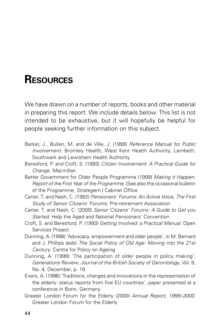## **RESOURCES**

We have drawn on a number of reports, books and other material in preparing this report. We include details below. This list is not intended to be exhaustive, but it will hopefully be helpful for people seeking further information on this subject.

- Barker, J., Bullen, M. and de Ville, J. (1999) Reference Manual for Public Involvement. Bromley Health, West Kent Health Authority, Lambeth, Southwark and Lewisham Health Authority
- Beresford, P. and Croft, S. (1993) Citizen Involvement: A Practical Guide for Change. Macmillan
- Better Government for Older People Programme (1999) Making it Happen: Report of the First Year of the Programme. (See also the occasional bulletin of the Programme, Strategem.) Cabinet Office
- Carter, T. and Nash, C. (1992) Pensioners' Forums: An Active Voice, The First Study of Senior Citizens' Forums. Pre-retirement Association
- Carter, T. and Nash, C. (2000) Senior Citizens' Forums: A Guide to Get you Started. Help the Aged and National Pensioners' Convention
- Croft, S. and Beresford, P. (1993) Getting Involved: a Practical Manual. Open Services Project
- Dunning, A. (1998) 'Advocacy, empowerment and older people', in M. Bernard and J. Phillips (eds) The Social Policy of Old Age: Moving into the 21st Century. Centre for Policy on Ageing
- Dunning, A. (1999) 'The participation of older people in policy making', Generations Review, Journal of the British Society of Gerontology, Vol. 9, No. 4, December, p. 19
- Evers, A. (1996) 'Traditions, changes and innovations in the representation of the elderly: status reports from five EU countries', paper presented at a conference in Bonn, Germany
- Greater London Forum for the Elderly (2000) Annual Report, 1999–2000. Greater London Forum for the Elderly